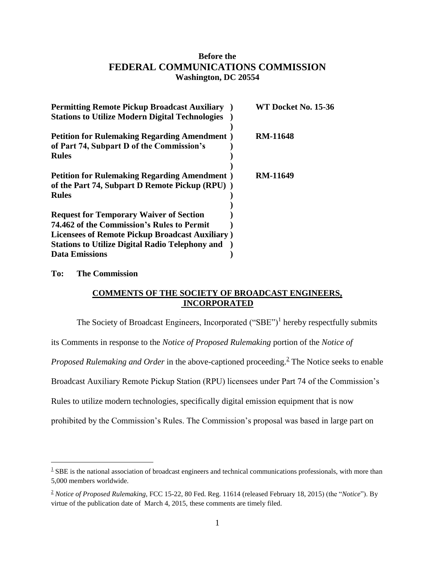# **Before the FEDERAL COMMUNICATIONS COMMISSION Washington, DC 20554**

| <b>Permitting Remote Pickup Broadcast Auxiliary</b>                                                                                             | WT Docket No. 15-36 |
|-------------------------------------------------------------------------------------------------------------------------------------------------|---------------------|
| <b>Stations to Utilize Modern Digital Technologies</b>                                                                                          |                     |
| <b>Petition for Rulemaking Regarding Amendment</b> )<br>of Part 74, Subpart D of the Commission's<br><b>Rules</b>                               | <b>RM-11648</b>     |
| <b>Petition for Rulemaking Regarding Amendment</b> )<br>of the Part 74, Subpart D Remote Pickup (RPU))<br><b>Rules</b>                          | <b>RM-11649</b>     |
| <b>Request for Temporary Waiver of Section</b><br>74.462 of the Commission's Rules to Permit<br>Licensees of Remote Pickup Broadcast Auxiliary) |                     |
| <b>Stations to Utilize Digital Radio Telephony and</b>                                                                                          |                     |
| <b>Data Emissions</b>                                                                                                                           |                     |

## **To: The Commission**

 $\overline{a}$ 

# **COMMENTS OF THE SOCIETY OF BROADCAST ENGINEERS, INCORPORATED**

The Society of Broadcast Engineers, Incorporated  $("SBE")<sup>1</sup>$  hereby respectfully submits

its Comments in response to the *Notice of Proposed Rulemaking* portion of the *Notice of* 

Proposed Rulemaking and Order in the above-captioned proceeding.<sup>2</sup> The Notice seeks to enable

Broadcast Auxiliary Remote Pickup Station (RPU) licensees under Part 74 of the Commission's

Rules to utilize modern technologies, specifically digital emission equipment that is now

prohibited by the Commission's Rules. The Commission's proposal was based in large part on

 $1 \text{ }$  SBE is the national association of broadcast engineers and technical communications professionals, with more than 5,000 members worldwide.

<sup>2</sup> *Notice of Proposed Rulemaking*, FCC 15-22, 80 Fed. Reg. 11614 (released February 18, 2015) (the "*Notice*"). By virtue of the publication date of March 4, 2015, these comments are timely filed.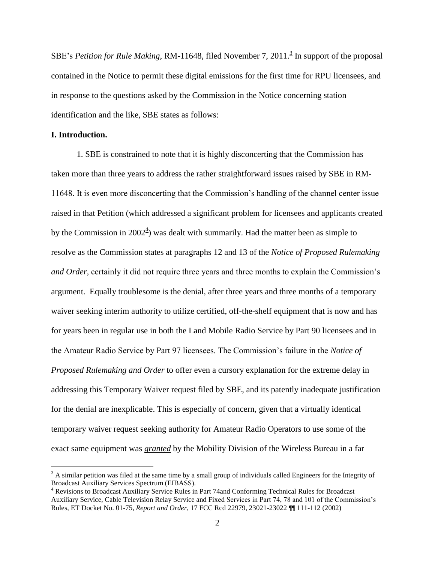SBE's *Petition for Rule Making*, RM-11648, filed November 7, 2011.<sup>3</sup> In support of the proposal contained in the Notice to permit these digital emissions for the first time for RPU licensees, and in response to the questions asked by the Commission in the Notice concerning station identification and the like, SBE states as follows:

### **I. Introduction.**

 $\overline{a}$ 

1. SBE is constrained to note that it is highly disconcerting that the Commission has taken more than three years to address the rather straightforward issues raised by SBE in RM-11648. It is even more disconcerting that the Commission's handling of the channel center issue raised in that Petition (which addressed a significant problem for licensees and applicants created by the Commission in  $2002^4$ ) was dealt with summarily. Had the matter been as simple to resolve as the Commission states at paragraphs 12 and 13 of the *Notice of Proposed Rulemaking and Order,* certainly it did not require three years and three months to explain the Commission's argument. Equally troublesome is the denial, after three years and three months of a temporary waiver seeking interim authority to utilize certified, off-the-shelf equipment that is now and has for years been in regular use in both the Land Mobile Radio Service by Part 90 licensees and in the Amateur Radio Service by Part 97 licensees. The Commission's failure in the *Notice of Proposed Rulemaking and Order* to offer even a cursory explanation for the extreme delay in addressing this Temporary Waiver request filed by SBE, and its patently inadequate justification for the denial are inexplicable. This is especially of concern, given that a virtually identical temporary waiver request seeking authority for Amateur Radio Operators to use some of the exact same equipment was *granted* by the Mobility Division of the Wireless Bureau in a far

 $3$  A similar petition was filed at the same time by a small group of individuals called Engineers for the Integrity of Broadcast Auxiliary Services Spectrum (EIBASS).

<sup>4</sup> Revisions to Broadcast Auxiliary Service Rules in Part 74and Conforming Technical Rules for Broadcast Auxiliary Service, Cable Television Relay Service and Fixed Services in Part 74, 78 and 101 of the Commission's Rules, ET Docket No. 01-75, *Report and Order*, 17 FCC Rcd 22979, 23021-23022 ¶¶ 111-112 (2002)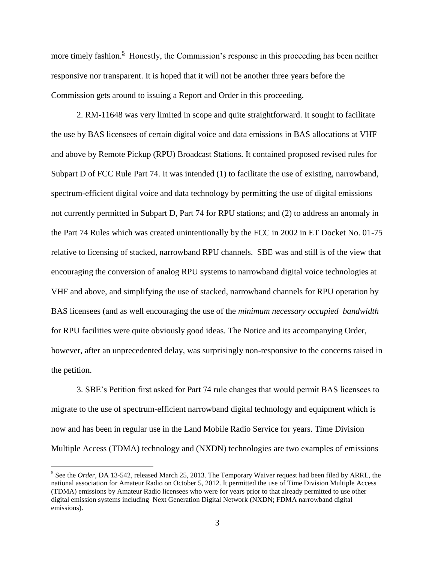more timely fashion.<sup>5</sup> Honestly, the Commission's response in this proceeding has been neither responsive nor transparent. It is hoped that it will not be another three years before the Commission gets around to issuing a Report and Order in this proceeding.

2. RM-11648 was very limited in scope and quite straightforward. It sought to facilitate the use by BAS licensees of certain digital voice and data emissions in BAS allocations at VHF and above by Remote Pickup (RPU) Broadcast Stations. It contained proposed revised rules for Subpart D of FCC Rule Part 74. It was intended (1) to facilitate the use of existing, narrowband, spectrum-efficient digital voice and data technology by permitting the use of digital emissions not currently permitted in Subpart D, Part 74 for RPU stations; and (2) to address an anomaly in the Part 74 Rules which was created unintentionally by the FCC in 2002 in ET Docket No. 01-75 relative to licensing of stacked, narrowband RPU channels. SBE was and still is of the view that encouraging the conversion of analog RPU systems to narrowband digital voice technologies at VHF and above, and simplifying the use of stacked, narrowband channels for RPU operation by BAS licensees (and as well encouraging the use of the *minimum necessary occupied bandwidth* for RPU facilities were quite obviously good ideas. The Notice and its accompanying Order, however, after an unprecedented delay, was surprisingly non-responsive to the concerns raised in the petition.

3. SBE's Petition first asked for Part 74 rule changes that would permit BAS licensees to migrate to the use of spectrum-efficient narrowband digital technology and equipment which is now and has been in regular use in the Land Mobile Radio Service for years. Time Division Multiple Access (TDMA) technology and (NXDN) technologies are two examples of emissions

 $\overline{a}$ 

<sup>&</sup>lt;sup>5</sup> See the *Order*, DA 13-542, released March 25, 2013. The Temporary Waiver request had been filed by ARRL, the national association for Amateur Radio on October 5, 2012. It permitted the use of Time Division Multiple Access (TDMA) emissions by Amateur Radio licensees who were for years prior to that already permitted to use other digital emission systems including Next Generation Digital Network (NXDN; FDMA narrowband digital emissions).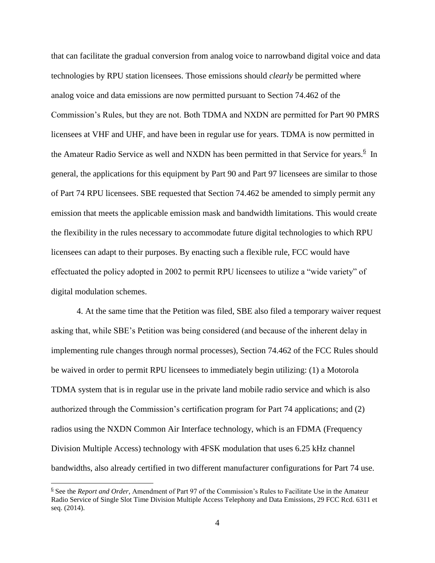that can facilitate the gradual conversion from analog voice to narrowband digital voice and data technologies by RPU station licensees. Those emissions should *clearly* be permitted where analog voice and data emissions are now permitted pursuant to Section 74.462 of the Commission's Rules, but they are not. Both TDMA and NXDN are permitted for Part 90 PMRS licensees at VHF and UHF, and have been in regular use for years. TDMA is now permitted in the Amateur Radio Service as well and NXDN has been permitted in that Service for years.<sup>6</sup> In general, the applications for this equipment by Part 90 and Part 97 licensees are similar to those of Part 74 RPU licensees. SBE requested that Section 74.462 be amended to simply permit any emission that meets the applicable emission mask and bandwidth limitations. This would create the flexibility in the rules necessary to accommodate future digital technologies to which RPU licensees can adapt to their purposes. By enacting such a flexible rule, FCC would have effectuated the policy adopted in 2002 to permit RPU licensees to utilize a "wide variety" of digital modulation schemes.

4. At the same time that the Petition was filed, SBE also filed a temporary waiver request asking that, while SBE's Petition was being considered (and because of the inherent delay in implementing rule changes through normal processes), Section 74.462 of the FCC Rules should be waived in order to permit RPU licensees to immediately begin utilizing: (1) a Motorola TDMA system that is in regular use in the private land mobile radio service and which is also authorized through the Commission's certification program for Part 74 applications; and (2) radios using the NXDN Common Air Interface technology, which is an FDMA (Frequency Division Multiple Access) technology with 4FSK modulation that uses 6.25 kHz channel bandwidths, also already certified in two different manufacturer configurations for Part 74 use.

 $\overline{a}$ 

<sup>&</sup>lt;sup>6</sup> See the *Report and Order*, Amendment of Part 97 of the Commission's Rules to Facilitate Use in the Amateur Radio Service of Single Slot Time Division Multiple Access Telephony and Data Emissions, 29 FCC Rcd. 6311 et seq. (2014).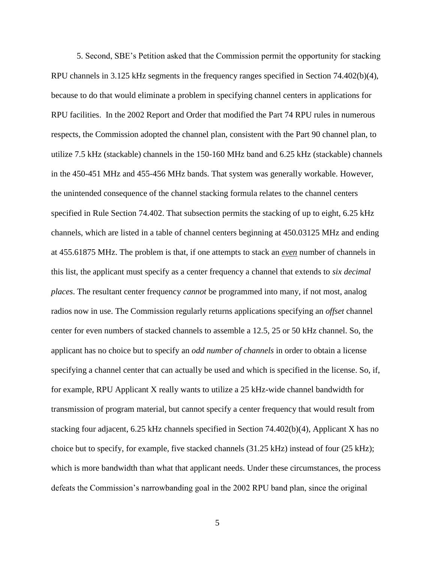5. Second, SBE's Petition asked that the Commission permit the opportunity for stacking RPU channels in 3.125 kHz segments in the frequency ranges specified in Section 74.402(b)(4), because to do that would eliminate a problem in specifying channel centers in applications for RPU facilities. In the 2002 Report and Order that modified the Part 74 RPU rules in numerous respects, the Commission adopted the channel plan, consistent with the Part 90 channel plan, to utilize 7.5 kHz (stackable) channels in the 150-160 MHz band and 6.25 kHz (stackable) channels in the 450-451 MHz and 455-456 MHz bands. That system was generally workable. However, the unintended consequence of the channel stacking formula relates to the channel centers specified in Rule Section 74.402. That subsection permits the stacking of up to eight, 6.25 kHz channels, which are listed in a table of channel centers beginning at 450.03125 MHz and ending at 455.61875 MHz. The problem is that, if one attempts to stack an *even* number of channels in this list, the applicant must specify as a center frequency a channel that extends to *six decimal places*. The resultant center frequency *cannot* be programmed into many, if not most, analog radios now in use. The Commission regularly returns applications specifying an *offset* channel center for even numbers of stacked channels to assemble a 12.5, 25 or 50 kHz channel. So, the applicant has no choice but to specify an *odd number of channels* in order to obtain a license specifying a channel center that can actually be used and which is specified in the license. So, if, for example, RPU Applicant X really wants to utilize a 25 kHz-wide channel bandwidth for transmission of program material, but cannot specify a center frequency that would result from stacking four adjacent, 6.25 kHz channels specified in Section 74.402(b)(4), Applicant X has no choice but to specify, for example, five stacked channels (31.25 kHz) instead of four (25 kHz); which is more bandwidth than what that applicant needs. Under these circumstances, the process defeats the Commission's narrowbanding goal in the 2002 RPU band plan, since the original

5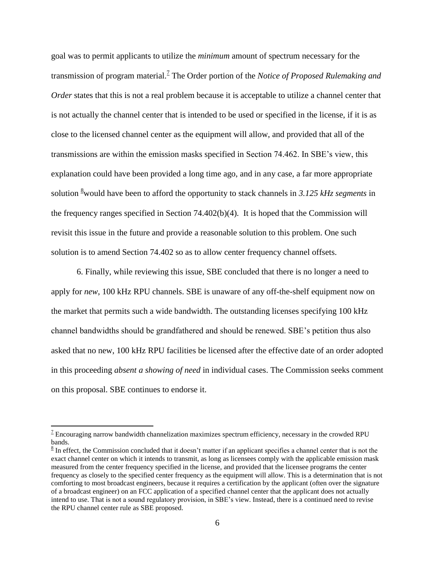goal was to permit applicants to utilize the *minimum* amount of spectrum necessary for the transmission of program material.<sup>7</sup> The Order portion of the *Notice of Proposed Rulemaking and Order* states that this is not a real problem because it is acceptable to utilize a channel center that is not actually the channel center that is intended to be used or specified in the license, if it is as close to the licensed channel center as the equipment will allow, and provided that all of the transmissions are within the emission masks specified in Section 74.462. In SBE's view, this explanation could have been provided a long time ago, and in any case, a far more appropriate solution <sup>8</sup>would have been to afford the opportunity to stack channels in *3.125 kHz segments* in the frequency ranges specified in Section 74.402(b)(4). It is hoped that the Commission will revisit this issue in the future and provide a reasonable solution to this problem. One such solution is to amend Section 74.402 so as to allow center frequency channel offsets.

6. Finally, while reviewing this issue, SBE concluded that there is no longer a need to apply for *new*, 100 kHz RPU channels. SBE is unaware of any off-the-shelf equipment now on the market that permits such a wide bandwidth. The outstanding licenses specifying 100 kHz channel bandwidths should be grandfathered and should be renewed. SBE's petition thus also asked that no new, 100 kHz RPU facilities be licensed after the effective date of an order adopted in this proceeding *absent a showing of need* in individual cases. The Commission seeks comment on this proposal. SBE continues to endorse it.

 $\overline{a}$ 

 $1$ <sup>2</sup> Encouraging narrow bandwidth channelization maximizes spectrum efficiency, necessary in the crowded RPU bands.

 $8 \text{ In effect, the Commission concluded that it doesn't matter if an application specified.}$ exact channel center on which it intends to transmit, as long as licensees comply with the applicable emission mask measured from the center frequency specified in the license, and provided that the licensee programs the center frequency as closely to the specified center frequency as the equipment will allow. This is a determination that is not comforting to most broadcast engineers, because it requires a certification by the applicant (often over the signature of a broadcast engineer) on an FCC application of a specified channel center that the applicant does not actually intend to use. That is not a sound regulatory provision, in SBE's view. Instead, there is a continued need to revise the RPU channel center rule as SBE proposed.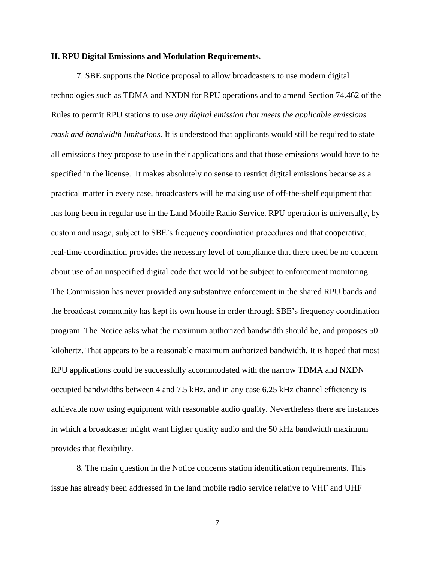#### **II. RPU Digital Emissions and Modulation Requirements.**

7. SBE supports the Notice proposal to allow broadcasters to use modern digital technologies such as TDMA and NXDN for RPU operations and to amend Section 74.462 of the Rules to permit RPU stations to use *any digital emission that meets the applicable emissions mask and bandwidth limitations.* It is understood that applicants would still be required to state all emissions they propose to use in their applications and that those emissions would have to be specified in the license. It makes absolutely no sense to restrict digital emissions because as a practical matter in every case, broadcasters will be making use of off-the-shelf equipment that has long been in regular use in the Land Mobile Radio Service. RPU operation is universally, by custom and usage, subject to SBE's frequency coordination procedures and that cooperative, real-time coordination provides the necessary level of compliance that there need be no concern about use of an unspecified digital code that would not be subject to enforcement monitoring. The Commission has never provided any substantive enforcement in the shared RPU bands and the broadcast community has kept its own house in order through SBE's frequency coordination program. The Notice asks what the maximum authorized bandwidth should be, and proposes 50 kilohertz. That appears to be a reasonable maximum authorized bandwidth. It is hoped that most RPU applications could be successfully accommodated with the narrow TDMA and NXDN occupied bandwidths between 4 and 7.5 kHz, and in any case 6.25 kHz channel efficiency is achievable now using equipment with reasonable audio quality. Nevertheless there are instances in which a broadcaster might want higher quality audio and the 50 kHz bandwidth maximum provides that flexibility.

8. The main question in the Notice concerns station identification requirements. This issue has already been addressed in the land mobile radio service relative to VHF and UHF

7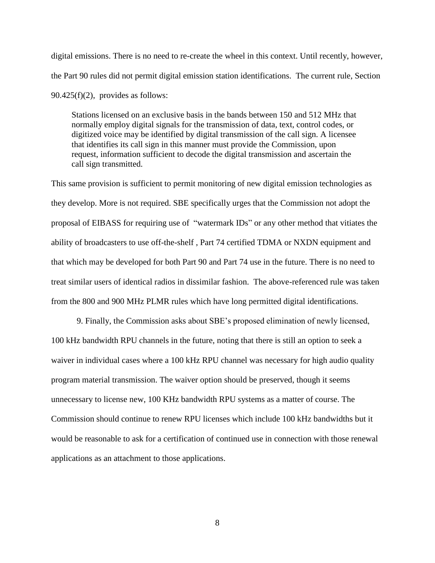digital emissions. There is no need to re-create the wheel in this context. Until recently, however, the Part 90 rules did not permit digital emission station identifications. The current rule, Section  $90.425(f)(2)$ , provides as follows:

Stations licensed on an exclusive basis in the bands between 150 and 512 MHz that normally employ digital signals for the transmission of data, text, control codes, or digitized voice may be identified by digital transmission of the call sign. A licensee that identifies its call sign in this manner must provide the Commission, upon request, information sufficient to decode the digital transmission and ascertain the call sign transmitted.

This same provision is sufficient to permit monitoring of new digital emission technologies as they develop. More is not required. SBE specifically urges that the Commission not adopt the proposal of EIBASS for requiring use of "watermark IDs" or any other method that vitiates the ability of broadcasters to use off-the-shelf , Part 74 certified TDMA or NXDN equipment and that which may be developed for both Part 90 and Part 74 use in the future. There is no need to treat similar users of identical radios in dissimilar fashion. The above-referenced rule was taken from the 800 and 900 MHz PLMR rules which have long permitted digital identifications.

9. Finally, the Commission asks about SBE's proposed elimination of newly licensed, 100 kHz bandwidth RPU channels in the future, noting that there is still an option to seek a waiver in individual cases where a 100 kHz RPU channel was necessary for high audio quality program material transmission. The waiver option should be preserved, though it seems unnecessary to license new, 100 KHz bandwidth RPU systems as a matter of course. The Commission should continue to renew RPU licenses which include 100 kHz bandwidths but it would be reasonable to ask for a certification of continued use in connection with those renewal applications as an attachment to those applications.

8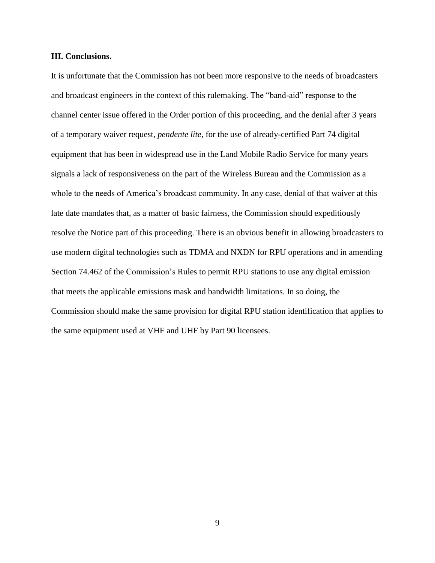#### **III. Conclusions.**

It is unfortunate that the Commission has not been more responsive to the needs of broadcasters and broadcast engineers in the context of this rulemaking. The "band-aid" response to the channel center issue offered in the Order portion of this proceeding, and the denial after 3 years of a temporary waiver request, *pendente lite,* for the use of already-certified Part 74 digital equipment that has been in widespread use in the Land Mobile Radio Service for many years signals a lack of responsiveness on the part of the Wireless Bureau and the Commission as a whole to the needs of America's broadcast community. In any case, denial of that waiver at this late date mandates that, as a matter of basic fairness, the Commission should expeditiously resolve the Notice part of this proceeding. There is an obvious benefit in allowing broadcasters to use modern digital technologies such as TDMA and NXDN for RPU operations and in amending Section 74.462 of the Commission's Rules to permit RPU stations to use any digital emission that meets the applicable emissions mask and bandwidth limitations. In so doing, the Commission should make the same provision for digital RPU station identification that applies to the same equipment used at VHF and UHF by Part 90 licensees.